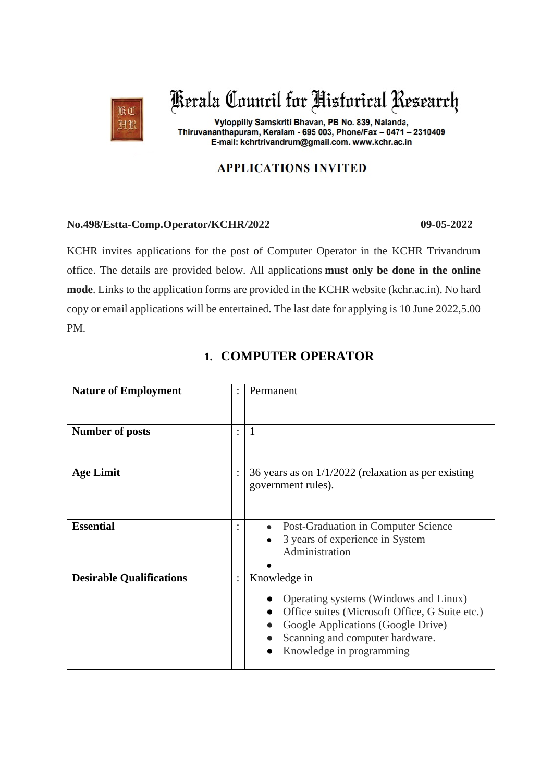

Kerala Council for Historical Research

Vyloppilly Samskriti Bhavan, PB No. 839, Nalanda, Thiruvananthapuram, Keralam - 695 003, Phone/Fax - 0471 - 2310409 E-mail: kchrtrivandrum@gmail.com. www.kchr.ac.in

## **APPLICATIONS INVITED**

## **No.498/Estta-Comp.Operator/KCHR/2022 09-05-2022**

KCHR invites applications for the post of Computer Operator in the KCHR Trivandrum office. The details are provided below. All applications **must only be done in the online mode**. Links to the application forms are provided in the KCHR website (kchr.ac.in). No hard copy or email applications will be entertained. The last date for applying is 10 June 2022,5.00 PM.

| <b>1. COMPUTER OPERATOR</b>     |                |                                                                                                                                                                                                              |
|---------------------------------|----------------|--------------------------------------------------------------------------------------------------------------------------------------------------------------------------------------------------------------|
| <b>Nature of Employment</b>     |                | Permanent                                                                                                                                                                                                    |
| <b>Number of posts</b>          |                | $\mathbf{1}$                                                                                                                                                                                                 |
| <b>Age Limit</b>                |                | 36 years as on $1/1/2022$ (relaxation as per existing<br>government rules).                                                                                                                                  |
| <b>Essential</b>                |                | Post-Graduation in Computer Science<br>$\bullet$<br>3 years of experience in System<br>Administration                                                                                                        |
| <b>Desirable Qualifications</b> | $\ddot{\cdot}$ | Knowledge in<br>Operating systems (Windows and Linux)<br>Office suites (Microsoft Office, G Suite etc.)<br>Google Applications (Google Drive)<br>Scanning and computer hardware.<br>Knowledge in programming |